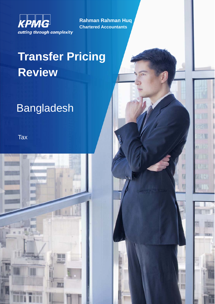

**Rahman Rahman Huq Chartered Accountants**

THE

# **Transfer Pricing Review**

# **Bangladesh**

**Tax** 

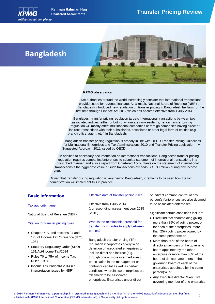

**Rahman Rahman Huq**

# **Chartered Accountants Transfer Pricing Review**

# **Bangladesh**



#### **KPMG observation**

Tax authorities around the world increasingly consider that international transactions provide scope for revenue leakage. As a result, National Board of Revenue (NBR) of Bangladesh introduced new regulation on transfer pricing in Bangladesh tax laws for the first time through Finance Act 2012 which has become effective from 1 July 2014.

Bangladesh transfer pricing regulation targets international transactions between two associated entities, either or both of whom are non-residents; hence transfer pricing regulation will mostly affect multinational companies or foreign companies having direct or indirect transactions with their subsidiaries, associates or other legal form of entities (e.g. branch office, agent, etc.) in Bangladesh.

Bangladesh transfer pricing regulation is broadly in line with OECD Transfer Pricing Guidelines for Multinational Enterprises and Tax Administrations 2010 and Transfer Pricing Legislation – A Suggested Approach 2011 issued by OECD.

In addition to necessary documentation on international transactions, Bangladesh transfer pricing regulation requires companies/enterprises to submit a statement of international transactions in a prescribed manner, and also a report from Chartered Accountants on the statement of international transactions if the aggregate value of such transactions exceeds BDT 30 million during any income year.

Given that transfer pricing regulation is very new to Bangladesh, it remains to be seen how the tax administration will implement this in practice.

## **Basic information**

#### Tax authority name

National Board of Revenue (NBR).

#### Citation for transfer pricing rules

- Chapter XIA, and sections 94 and 173 of Income Tax Ordinance (ITO), 1984
- Statutory Regulatory Order (SRO) 161/Act/Income Tax/2014
- Rules 70 to 75A of Income Tax Rules, 1984
- Income Tax Paripatra 2014 (i.e. interpretation issued by NBR)

#### Effective date of transfer pricing rules

Effective from 1 July 2014 (corresponding assessment year 2015 -2016).

### What is the relationship threshold for transfer pricing rules to apply between parties?

Bangladesh transfer pricing (TP) regulation incorporates a very wide definition of associated enterprises to include direct and indirect (e.g. through one or more intermediaries) participation in the management or control or capital as well as certain conditions wherein two enterprises are "deemed" to be associated enterprises. Enterprises under direct

or indirect common control of any person(s)/enterprises are also deemed to be associated enterprises.

Significant certain conditions include:

- Direct/indirect shareholding giving more than 25% of voting power, or for each of the enterprises, more than 25% voting power owned by the same person(s); or
- More than 50% of the board of directors/members of the governing board appointed by the other enterprise or more than 50% of the board of directors/members of the governing board of each of the enterprises appointed by the same person(s); or
- Any executive director /executive governing member of one enterprise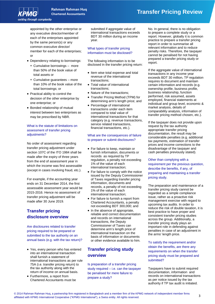# cutting through complexity

appointed by the other enterprise or any executive director/member of each of the enterprises appointed by the same person(s) or any common executive director/ member for each of the enterprises; or

- Dependency relating to borrowings:
	- Cumulative borrowings more than 50% of the book value of total assets or
	- Cumulative guarantees more than 10% of the book value of the total borrowings; or
- Practical ability to control the decision of the other enterprise by one enterprise; or
- Bonded relationship of mutual interest between two enterprises as may be prescribed by NBR.

### What is the statute of limitations on assessment of transfer pricing adjustments?

No order of assessment regarding transfer pricing adjustment under section 107C of the ITO 1984 shall be made after the expiry of three years from the end of assessment year in which the income was first assessable (except in cases involving fraud, etc.).

For example, if the accounting year ends on 31 December 2014, the first assessable assessment year would be 2015-2016. Hence no assessment of transfer pricing adjustment will be made after 30 June 2019.

# **Transfer pricing disclosure overview**

Are disclosures related to transfer pricing required to be prepared or submitted to the tax authority on an annual basis (e.g. with the tax return)?

- Yes, every person who has entered into an international transaction shall furnish a statement of international transactions as per rule 75A (i.e. transfer pricing return) to the tax authority along with the return of income on annual basis.
- Furthermore, a report from Chartered Accountants must be

submitted if aggregate value of international transactions exceeds BDT 30 million during an income year.

### What types of transfer pricing information must be disclosed?

The following information is to be disclosed in the transfer pricing return:

- Item wise total expense and total revenue of the international transactions;
- Total value of international transactions;
- Nature of the transactions;
- Transfer Pricing Method (TPM) for determining arm's length price; and
- Percentage of international transactions under each item compared to total value of international transactions for that category (e.g. revenue transactions, service related transactions, financial transactions, etc.).

#### What are the consequences of failure to prepare or submit disclosures?

- For failure to keep, maintain or furnish information, documents or records as required by TP regulation, a penalty not exceeding 1% of the value of each international transaction;
- For failure to comply with the notice issued by the Deputy Commissioner of Taxes regarding transfer pricing information, documents and records, a penalty of not exceeding 1% of the value of each international transaction;
- For failure to furnish a report from Chartered Accountants, a penalty not exceeding BDT 300,000; and
- In the absence of appropriate, reliable and correct documentation and records on international transactions, the Deputy Commissioner of Taxes can determine arm's length price of international transaction on the basis of information or documents or other evidence available to him.

# **Transfer pricing study overview**

Is preparation of a transfer pricing study required – i.e. can the taxpayer be penalised for mere failure to prepare a study?

No. In general, there is no obligation to prepare a complete study or a report. However, globally it is common practice to prepare a transfer pricing report in order to summarise all relevant information and to reduce penalty risks. Therefore, the taxpayer cannot be penalised for not having prepared a transfer pricing study or report.

If the aggregate value of international transactions in any income year exceeds BDT 30 million, TP regulation requires to document and maintain certain information and records (e.g. ownership profile, business profile, business relationship, function performed, risk assumed, assets employed, financial statements at individual and group level, economic & market analysis, details of comparability analysis, information of transfer pricing method chosen, etc.).

If the taxpayer does not provide upon request by the tax authority appropriate transfer pricing documentation, the result may be considerable penalties (e.g. additional tax payments, estimation of transfer prices and income corrections to the disadvantage of the taxpayer and cash penalties previously stated).

Other than complying with a requirement per the previous question, describe the benefits, if any, of preparing and maintaining a transfer pricing study.

The preparation and maintenance of a transfer pricing study cannot be regarded as a simple compliance issue, rather as a proactive risk management exercise with regard to upcoming tax audits. In order to reduce the risk of double taxation, it is best practice to have proper and consistent transfer pricing studies across the group. Additionally, a transfer pricing study plays an important role in defending against penalties in case of an adjustment in the arms' length price.

To satisfy the requirement and/or obtain the benefits, are there any requirements on when the transfer pricing study must be prepared and submitted?

Taxpayers have to submit required documentation, information and records on international transactions as per notice issued by the tax authority if TP tax audit is initiated.

# **Chartered Accountants Transfer Pricing Review**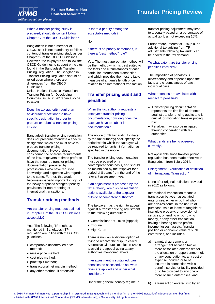

# **Chartered Accountants Transfer Pricing Review**

### When a transfer pricing study is prepared, should its content follow Chapter V of the OECD Guidelines?

Bangladesh is not a member of OECD, so it is not mandatory to follow content of transfer pricing study as per Chapter V of the OECD Guidelines. However, the taxpayers can follow the OECD Guidelines to support principles found in the Bangladesh Transfer Pricing Regulation. The Bangladesh Transfer Pricing Regulation should be relied upon where there are differences from the OECD Guidelines.

United Nations Practical Manual on Transfer Pricing for Developing Countries issued in 2013 can also be followed.

Does the tax authority require an advisor/tax practitioner to have specific designation in order to prepare or submit a transfer pricing study?

Bangladesh transfer pricing regulation does not prescribe/mandate a specific designation which one must have to prepare transfer pricing documentation. Nevertheless, considering the onerous requirements of the law, taxpayers at times prefer to have the required transfer pricing documentation prepared by professionals who have requisite knowledge and expertise with regards to the same. Further, this would become especially important in light of the newly proposed stringent penalty provisions for non-reporting of international transactions.

# **Transfer pricing methods**

### Are transfer pricing methods outlined in Chapter II of the OECD Guidelines acceptable?

Yes. The following TP methods mentioned in Bangladesh TP regulation are in line with the OECD guidelines:

- comparable uncontrolled price method;
- resale price method;
- cost plus method;
- profit split method;
- transactional net margin method;
- any other method, if defensible

Is there a priority among the acceptable methods?

#### No.

If there is no priority of methods, is there a "best method" rule?

Yes. The most appropriate method will be the method which is best suited to the facts and circumstances of each particular international transaction, and which provides the most reliable measure of an arm's length price in relation to an international transaction.

# **Transfer pricing audit and penalties**

When the tax authority requests a taxpayer's transfer pricing documentation, how long does the taxpayer have to submit its documentation?

The notice of TP tax audit (if initiated by the tax authority) shall specify the period within which the taxpayer will be required to furnish information as specified in the notice.

The transfer pricing documentation must be prepared on a contemporaneous basis, and should be maintained by the taxpayer for a period of 8 years from the end of the relevant assessment year.

If an adjustment is proposed by the tax authority, are dispute resolution options available to the taxpayer outside of competent authority?

The taxpayer has the right to appeal against a transfer pricing adjustment to the following authorities:

- Commissioner of Taxes (Appeal)
- Tribunal
- High Court

There is now an additional option of trying to resolve the dispute called Alternative Dispute Resolution (ADR) to avoid the appeal going at any authorities mentioned above.

If an adjustment is sustained, can penalties be assessed? If so, what rates are applied and under what conditions?

Under the general penalty regime, a

transfer pricing adjustment may lead to a penalty based on a percentage of actual tax loss not exceeding 10%.

Furthermore, interest at 10% p.a. on additional tax arising from TP adjustments following tax audit, can be added to the tax demand.

### To what extent are transfer pricing penalties enforced?

The imposition of penalties is discretionary and depends upon the facts and circumstances of each individual case.

What defences are available with respect to penalties?

- Transfer pricing documentation represents the first line of defence against transfer pricing audits and is crucial for mitigating transfer pricing risk.
- Penalties may also be mitigated through cooperation with tax authorities.

What trends are being observed currently?

Not applicable since transfer pricing regulation has been made effective in Bangladesh from 1 July 2014.

Enlargement/ Clarification of definition of 'International Transaction'

None after original definition provided in 2012 as follows:

International transaction means a transaction between associated enterprises, either or both of whom are non-residents, in the nature of purchase, sale or lease of tangible or intangible property, or provision of services, or lending or borrowing money, or any other transaction having a bearing on the profits, income, losses, assets, financial position or economic value of such enterprises, and includes-

- a) a mutual agreement or arrangement between two or more associated enterprises for the allocation or apportionment of, or any contribution to, any cost or expense incurred or to be incurred in connection with a benefit, service or facility provided or to be provided to any one or more of such enterprises; and
- b) a transaction entered into by an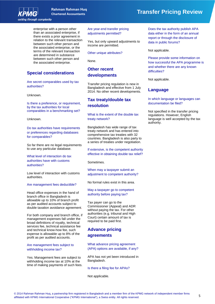

enterprise with a person other than an associated enterprise, if there exists a prior agreement in relation to the relevant transaction between such other person and the associated enterprise, or the terms of the relevant transaction are determined in substance between such other person and the associated enterprise.

## **Special considerations**

Are secret comparables used by tax authorities?

Unknown.

Is there a preference, or requirement, by the tax authorities for local comparables in a benchmarking set?

Unknown.

Do tax authorities have requirements or preferences regarding databases for comparables?

So far there are no legal requirements to use any particular database.

What level of interaction do tax authorities have with customs authorities?

Low level of interaction with customs authorities.

#### Are management fees deductible?

Head office expenses in the hand of branch office in Bangladesh is allowable up to 10% of branch profit as per audited accounts subject to double taxation avoidance agreement.

For both company and branch office, if management expenses fall under the broad definitions of royalty, technical services fee, technical assistance fee and technical know-how fee, such expense is allowable up to 8% of the profit as per audited accounts.

Are management fees subject to withholding income tax?

Yes. Management fees are subject to withholding income tax at 10% at the time of making payments of such fees. Are year-end transfer pricing adjustments permitted?

Yes, but only upward adjustments to income are permitted.

Other unique attributes?

None.

# **Other recent developments**

Transfer pricing regulation is new in Bangladesh and effective from 1 July 2014. No other recent developments.

# **Tax treaty/double tax resolution**

What is the extent of the double tax treaty network?

Bangladesh has wide range of tax treaty network and has entered into comprehensive tax treaties with 32 countries. Bangladesh is also party to a series of treaties under negotiation.

If extensive, is the competent authority effective in obtaining double tax relief?

Sometimes.

When may a taxpayer submit an adjustment to competent authority?

No formal rules exist in this area.

May a taxpayer go to competent authority before paying tax?

Tax payer can go to the Commissioner (Appeal) and ADR without paying the tax. For other authorities (e.g. tribunal and High Court) certain amount of tax is required to be paid first.

# **Advance pricing agreements**

What advance pricing agreement (APA) options are available, if any?

APA has not yet been introduced in Bangladesh.

Is there a filing fee for APAs?

Not applicable.

# **Chartered Accountants Transfer Pricing Review**

Does the tax authority publish APA data either in the form of an annual report or through the disclosure of data in public forums?

Not applicable.

Please provide some information on how successful the APA programme is and whether there are any known difficulties?

Not applicable.

## **Language**

In which language or languages can documentation be filed?

Not specified in the transfer pricing regulations. However, English language is well accepted by the tax authority.